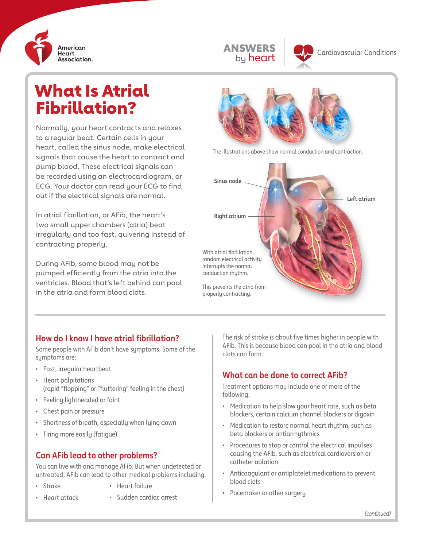



# What Is Atrial Fibrillation?

Normally, your heart contracts and relaxes to a regular beat. Certain cells in your heart, called the sinus node, make electrical signals that cause the heart to contract and pump blood. These electrical signals can be recorded using an electrocardiogram, or ECG. Your doctor can read your ECG to find out if the electrical signals are normal.

In atrial fibrillation, or AFib, the heart's two small upper chambers (atria) beat irregularly and too fast, quivering instead of contracting properly.

During AFib, some blood may not be pumped efficiently from the atria into the ventricles. Blood that's left behind can pool in the atria and form blood clots.



The illustrations above show normal conduction and contraction.



#### **How do I know I have atrial fibrillation?**

Some people with AFib don't have symptoms. Some of the symptoms are:

- Fast, irregular heartbeat
- Heart palpitations (rapid "flopping" or "fluttering" feeling in the chest)
- Feeling lightheaded or faint
- Chest pain or pressure
- Shortness of breath, especially when lying down
- Tiring more easily (fatigue)

### **Can AFib lead to other problems?**

You can live with and manage AFib. But when undetected or untreated, AFib can lead to other medical problems including:

- Stroke
- Heart failure
- Heart attack
- Sudden cardiac arrest

The risk of stroke is about five times higher in people with AFib. This is because blood can pool in the atria and blood clots can form.

# **What can be done to correct AFib?**

Treatment options may include one or more of the following:

- Medication to help slow your heart rate, such as beta blockers, certain calcium channel blockers or digoxin
- Medication to restore normal heart rhythm, such as beta blockers or antiarrhythmics
- Procedures to stop or control the electrical impulses causing the AFib, such as electrical cardioversion or catheter ablation
- Anticoagulant or antiplatelet medications to prevent blood clots
- Pacemaker or other surgery